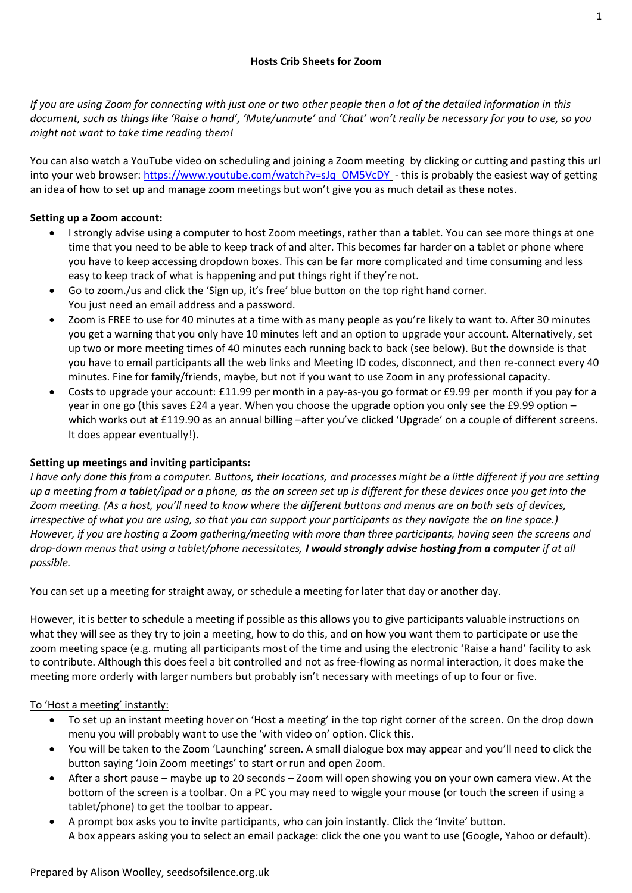*If you are using Zoom for connecting with just one or two other people then a lot of the detailed information in this document, such as things like 'Raise a hand', 'Mute/unmute' and 'Chat' won't really be necessary for you to use, so you might not want to take time reading them!*

You can also watch a YouTube video on scheduling and joining a Zoom meeting by clicking or cutting and pasting this url into your web browser: [https://www.youtube.com/watch?v=sJq\\_OM5VcDY](https://www.youtube.com/watch?v=sJq_OM5VcDY) - this is probably the easiest way of getting an idea of how to set up and manage zoom meetings but won't give you as much detail as these notes.

## **Setting up a Zoom account:**

- I strongly advise using a computer to host Zoom meetings, rather than a tablet. You can see more things at one time that you need to be able to keep track of and alter. This becomes far harder on a tablet or phone where you have to keep accessing dropdown boxes. This can be far more complicated and time consuming and less easy to keep track of what is happening and put things right if they're not.
- Go to zoom./us and click the 'Sign up, it's free' blue button on the top right hand corner. You just need an email address and a password.
- Zoom is FREE to use for 40 minutes at a time with as many people as you're likely to want to. After 30 minutes you get a warning that you only have 10 minutes left and an option to upgrade your account. Alternatively, set up two or more meeting times of 40 minutes each running back to back (see below). But the downside is that you have to email participants all the web links and Meeting ID codes, disconnect, and then re-connect every 40 minutes. Fine for family/friends, maybe, but not if you want to use Zoom in any professional capacity.
- Costs to upgrade your account: £11.99 per month in a pay-as-you go format or £9.99 per month if you pay for a year in one go (this saves £24 a year. When you choose the upgrade option you only see the £9.99 option – which works out at £119.90 as an annual billing –after you've clicked 'Upgrade' on a couple of different screens. It does appear eventually!).

## **Setting up meetings and inviting participants:**

*I have only done this from a computer. Buttons, their locations, and processes might be a little different if you are setting up a meeting from a tablet/ipad or a phone, as the on screen set up is different for these devices once you get into the Zoom meeting. (As a host, you'll need to know where the different buttons and menus are on both sets of devices, irrespective of what you are using, so that you can support your participants as they navigate the on line space.) However, if you are hosting a Zoom gathering/meeting with more than three participants, having seen the screens and drop-down menus that using a tablet/phone necessitates, I would strongly advise hosting from a computer if at all possible.* 

You can set up a meeting for straight away, or schedule a meeting for later that day or another day.

However, it is better to schedule a meeting if possible as this allows you to give participants valuable instructions on what they will see as they try to join a meeting, how to do this, and on how you want them to participate or use the zoom meeting space (e.g. muting all participants most of the time and using the electronic 'Raise a hand' facility to ask to contribute. Although this does feel a bit controlled and not as free-flowing as normal interaction, it does make the meeting more orderly with larger numbers but probably isn't necessary with meetings of up to four or five.

## To 'Host a meeting' instantly:

- To set up an instant meeting hover on 'Host a meeting' in the top right corner of the screen. On the drop down menu you will probably want to use the 'with video on' option. Click this.
- You will be taken to the Zoom 'Launching' screen. A small dialogue box may appear and you'll need to click the button saying 'Join Zoom meetings' to start or run and open Zoom.
- After a short pause maybe up to 20 seconds Zoom will open showing you on your own camera view. At the bottom of the screen is a toolbar. On a PC you may need to wiggle your mouse (or touch the screen if using a tablet/phone) to get the toolbar to appear.
- A prompt box asks you to invite participants, who can join instantly. Click the 'Invite' button. A box appears asking you to select an email package: click the one you want to use (Google, Yahoo or default).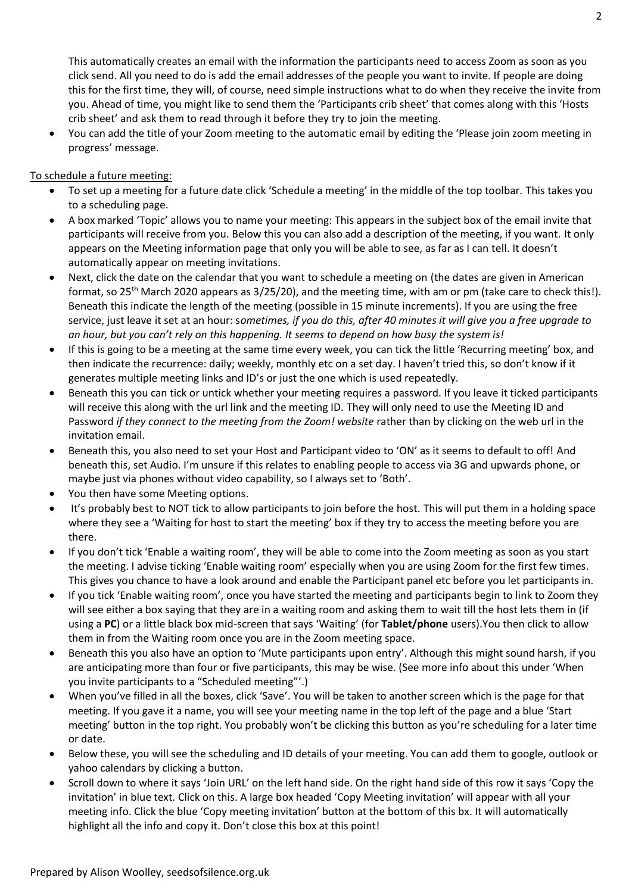This automatically creates an email with the information the participants need to access Zoom as soon as you click send. All you need to do is add the email addresses of the people you want to invite. If people are doing this for the first time, they will, of course, need simple instructions what to do when they receive the invite from you. Ahead of time, you might like to send them the 'Participants crib sheet' that comes along with this 'Hosts crib sheet' and ask them to read through it before they try to join the meeting.

• You can add the title of your Zoom meeting to the automatic email by editing the 'Please join zoom meeting in progress' message.

## To schedule a future meeting:

- To set up a meeting for a future date click 'Schedule a meeting' in the middle of the top toolbar. This takes you to a scheduling page.
- A box marked 'Topic' allows you to name your meeting: This appears in the subject box of the email invite that participants will receive from you. Below this you can also add a description of the meeting, if you want. It only appears on the Meeting information page that only you will be able to see, as far as I can tell. It doesn't automatically appear on meeting invitations.
- Next, click the date on the calendar that you want to schedule a meeting on (the dates are given in American format, so 25<sup>th</sup> March 2020 appears as 3/25/20), and the meeting time, with am or pm (take care to check this!). Beneath this indicate the length of the meeting (possible in 15 minute increments). If you are using the free service, just leave it set at an hour: s*ometimes, if you do this, after 40 minutes it will give you a free upgrade to an hour, but you can't rely on this happening. It seems to depend on how busy the system is!*
- If this is going to be a meeting at the same time every week, you can tick the little 'Recurring meeting' box, and then indicate the recurrence: daily; weekly, monthly etc on a set day. I haven't tried this, so don't know if it generates multiple meeting links and ID's or just the one which is used repeatedly.
- Beneath this you can tick or untick whether your meeting requires a password. If you leave it ticked participants will receive this along with the url link and the meeting ID. They will only need to use the Meeting ID and Password *if they connect to the meeting from the Zoom! website* rather than by clicking on the web url in the invitation email.
- Beneath this, you also need to set your Host and Participant video to 'ON' as it seems to default to off! And beneath this, set Audio. I'm unsure if this relates to enabling people to access via 3G and upwards phone, or maybe just via phones without video capability, so I always set to 'Both'.
- You then have some Meeting options.
- It's probably best to NOT tick to allow participants to join before the host. This will put them in a holding space where they see a 'Waiting for host to start the meeting' box if they try to access the meeting before you are there.
- If you don't tick 'Enable a waiting room', they will be able to come into the Zoom meeting as soon as you start the meeting. I advise ticking 'Enable waiting room' especially when you are using Zoom for the first few times. This gives you chance to have a look around and enable the Participant panel etc before you let participants in.
- If you tick 'Enable waiting room', once you have started the meeting and participants begin to link to Zoom they will see either a box saying that they are in a waiting room and asking them to wait till the host lets them in (if using a **PC**) or a little black box mid-screen that says 'Waiting' (for **Tablet/phone** users).You then click to allow them in from the Waiting room once you are in the Zoom meeting space.
- Beneath this you also have an option to 'Mute participants upon entry'. Although this might sound harsh, if you are anticipating more than four or five participants, this may be wise. (See more info about this under 'When you invite participants to a "Scheduled meeting"'.)
- When you've filled in all the boxes, click 'Save'. You will be taken to another screen which is the page for that meeting. If you gave it a name, you will see your meeting name in the top left of the page and a blue 'Start meeting' button in the top right. You probably won't be clicking this button as you're scheduling for a later time or date.
- Below these, you will see the scheduling and ID details of your meeting. You can add them to google, outlook or yahoo calendars by clicking a button.
- Scroll down to where it says 'Join URL' on the left hand side. On the right hand side of this row it says 'Copy the invitation' in blue text. Click on this. A large box headed 'Copy Meeting invitation' will appear with all your meeting info. Click the blue 'Copy meeting invitation' button at the bottom of this bx. It will automatically highlight all the info and copy it. Don't close this box at this point!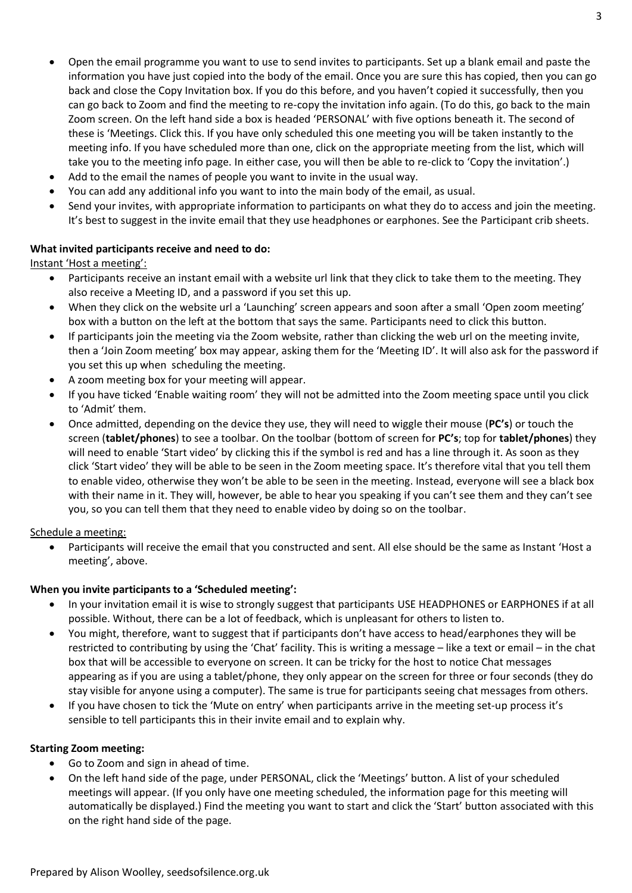- Open the email programme you want to use to send invites to participants. Set up a blank email and paste the information you have just copied into the body of the email. Once you are sure this has copied, then you can go back and close the Copy Invitation box. If you do this before, and you haven't copied it successfully, then you can go back to Zoom and find the meeting to re-copy the invitation info again. (To do this, go back to the main Zoom screen. On the left hand side a box is headed 'PERSONAL' with five options beneath it. The second of these is 'Meetings. Click this. If you have only scheduled this one meeting you will be taken instantly to the meeting info. If you have scheduled more than one, click on the appropriate meeting from the list, which will take you to the meeting info page. In either case, you will then be able to re-click to 'Copy the invitation'.)
- Add to the email the names of people you want to invite in the usual way.
- You can add any additional info you want to into the main body of the email, as usual.
- Send your invites, with appropriate information to participants on what they do to access and join the meeting. It's best to suggest in the invite email that they use headphones or earphones. See the Participant crib sheets.

#### **What invited participants receive and need to do:**

Instant 'Host a meeting':

- Participants receive an instant email with a website url link that they click to take them to the meeting. They also receive a Meeting ID, and a password if you set this up.
- When they click on the website url a 'Launching' screen appears and soon after a small 'Open zoom meeting' box with a button on the left at the bottom that says the same. Participants need to click this button.
- If participants join the meeting via the Zoom website, rather than clicking the web url on the meeting invite, then a 'Join Zoom meeting' box may appear, asking them for the 'Meeting ID'. It will also ask for the password if you set this up when scheduling the meeting.
- A zoom meeting box for your meeting will appear.
- If you have ticked 'Enable waiting room' they will not be admitted into the Zoom meeting space until you click to 'Admit' them.
- Once admitted, depending on the device they use, they will need to wiggle their mouse (**PC's**) or touch the screen (**tablet/phones**) to see a toolbar. On the toolbar (bottom of screen for **PC's**; top for **tablet/phones**) they will need to enable 'Start video' by clicking this if the symbol is red and has a line through it. As soon as they click 'Start video' they will be able to be seen in the Zoom meeting space. It's therefore vital that you tell them to enable video, otherwise they won't be able to be seen in the meeting. Instead, everyone will see a black box with their name in it. They will, however, be able to hear you speaking if you can't see them and they can't see you, so you can tell them that they need to enable video by doing so on the toolbar.

#### Schedule a meeting:

• Participants will receive the email that you constructed and sent. All else should be the same as Instant 'Host a meeting', above.

#### **When you invite participants to a 'Scheduled meeting':**

- In your invitation email it is wise to strongly suggest that participants USE HEADPHONES or EARPHONES if at all possible. Without, there can be a lot of feedback, which is unpleasant for others to listen to.
- You might, therefore, want to suggest that if participants don't have access to head/earphones they will be restricted to contributing by using the 'Chat' facility. This is writing a message – like a text or email – in the chat box that will be accessible to everyone on screen. It can be tricky for the host to notice Chat messages appearing as if you are using a tablet/phone, they only appear on the screen for three or four seconds (they do stay visible for anyone using a computer). The same is true for participants seeing chat messages from others.
- If you have chosen to tick the 'Mute on entry' when participants arrive in the meeting set-up process it's sensible to tell participants this in their invite email and to explain why.

#### **Starting Zoom meeting:**

- Go to Zoom and sign in ahead of time.
- On the left hand side of the page, under PERSONAL, click the 'Meetings' button. A list of your scheduled meetings will appear. (If you only have one meeting scheduled, the information page for this meeting will automatically be displayed.) Find the meeting you want to start and click the 'Start' button associated with this on the right hand side of the page.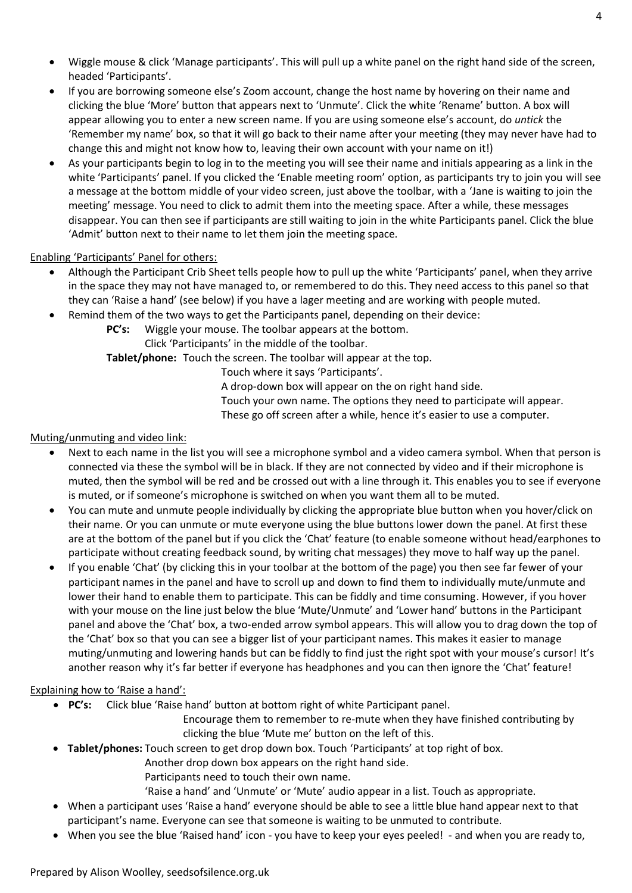- Wiggle mouse & click 'Manage participants'. This will pull up a white panel on the right hand side of the screen, headed 'Participants'.
- If you are borrowing someone else's Zoom account, change the host name by hovering on their name and clicking the blue 'More' button that appears next to 'Unmute'. Click the white 'Rename' button. A box will appear allowing you to enter a new screen name. If you are using someone else's account, do *untick* the 'Remember my name' box, so that it will go back to their name after your meeting (they may never have had to change this and might not know how to, leaving their own account with your name on it!)
- As your participants begin to log in to the meeting you will see their name and initials appearing as a link in the white 'Participants' panel. If you clicked the 'Enable meeting room' option, as participants try to join you will see a message at the bottom middle of your video screen, just above the toolbar, with a 'Jane is waiting to join the meeting' message. You need to click to admit them into the meeting space. After a while, these messages disappear. You can then see if participants are still waiting to join in the white Participants panel. Click the blue 'Admit' button next to their name to let them join the meeting space.

# Enabling 'Participants' Panel for others:

- Although the Participant Crib Sheet tells people how to pull up the white 'Participants' panel, when they arrive in the space they may not have managed to, or remembered to do this. They need access to this panel so that they can 'Raise a hand' (see below) if you have a lager meeting and are working with people muted.
- Remind them of the two ways to get the Participants panel, depending on their device:
- **PC's:** Wiggle your mouse. The toolbar appears at the bottom.
	- Click 'Participants' in the middle of the toolbar.

**Tablet/phone:** Touch the screen. The toolbar will appear at the top.

Touch where it says 'Participants'.

A drop-down box will appear on the on right hand side.

Touch your own name. The options they need to participate will appear.

These go off screen after a while, hence it's easier to use a computer.

## Muting/unmuting and video link:

- Next to each name in the list you will see a microphone symbol and a video camera symbol. When that person is connected via these the symbol will be in black. If they are not connected by video and if their microphone is muted, then the symbol will be red and be crossed out with a line through it. This enables you to see if everyone is muted, or if someone's microphone is switched on when you want them all to be muted.
- You can mute and unmute people individually by clicking the appropriate blue button when you hover/click on their name. Or you can unmute or mute everyone using the blue buttons lower down the panel. At first these are at the bottom of the panel but if you click the 'Chat' feature (to enable someone without head/earphones to participate without creating feedback sound, by writing chat messages) they move to half way up the panel.
- If you enable 'Chat' (by clicking this in your toolbar at the bottom of the page) you then see far fewer of your participant names in the panel and have to scroll up and down to find them to individually mute/unmute and lower their hand to enable them to participate. This can be fiddly and time consuming. However, if you hover with your mouse on the line just below the blue 'Mute/Unmute' and 'Lower hand' buttons in the Participant panel and above the 'Chat' box, a two-ended arrow symbol appears. This will allow you to drag down the top of the 'Chat' box so that you can see a bigger list of your participant names. This makes it easier to manage muting/unmuting and lowering hands but can be fiddly to find just the right spot with your mouse's cursor! It's another reason why it's far better if everyone has headphones and you can then ignore the 'Chat' feature!

## Explaining how to 'Raise a hand':

• **PC's:** Click blue 'Raise hand' button at bottom right of white Participant panel.

Encourage them to remember to re-mute when they have finished contributing by clicking the blue 'Mute me' button on the left of this.

- **Tablet/phones:** Touch screen to get drop down box. Touch 'Participants' at top right of box.
	- Another drop down box appears on the right hand side.
		- Participants need to touch their own name.
		- 'Raise a hand' and 'Unmute' or 'Mute' audio appear in a list. Touch as appropriate.
- When a participant uses 'Raise a hand' everyone should be able to see a little blue hand appear next to that participant's name. Everyone can see that someone is waiting to be unmuted to contribute.
- When you see the blue 'Raised hand' icon you have to keep your eyes peeled! and when you are ready to,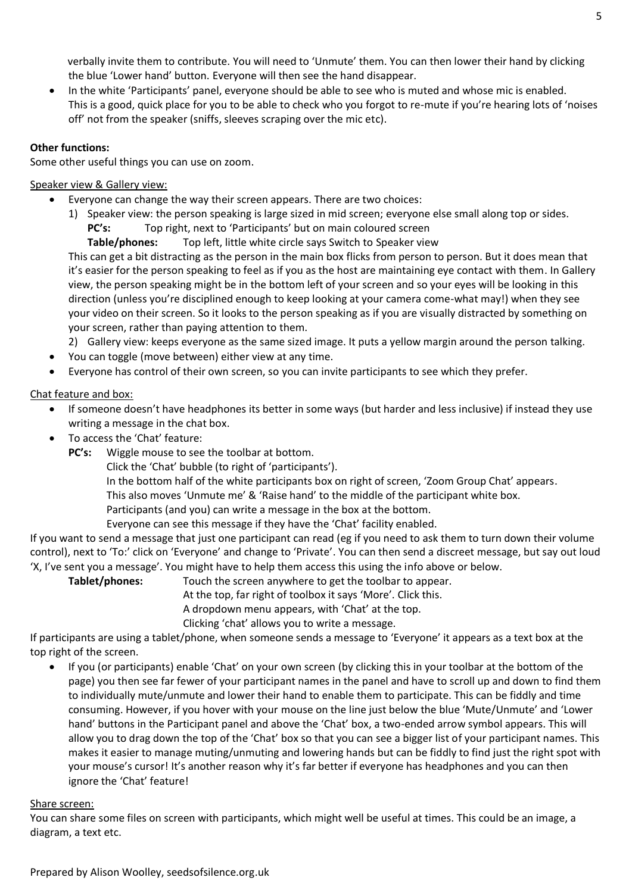verbally invite them to contribute. You will need to 'Unmute' them. You can then lower their hand by clicking the blue 'Lower hand' button. Everyone will then see the hand disappear.

• In the white 'Participants' panel, everyone should be able to see who is muted and whose mic is enabled. This is a good, quick place for you to be able to check who you forgot to re-mute if you're hearing lots of 'noises off' not from the speaker (sniffs, sleeves scraping over the mic etc).

### **Other functions:**

Some other useful things you can use on zoom.

## Speaker view & Gallery view:

- Everyone can change the way their screen appears. There are two choices:
	- 1) Speaker view: the person speaking is large sized in mid screen; everyone else small along top or sides. **PC's:** Top right, next to 'Participants' but on main coloured screen

**Table/phones:** Top left, little white circle says Switch to Speaker view

This can get a bit distracting as the person in the main box flicks from person to person. But it does mean that it's easier for the person speaking to feel as if you as the host are maintaining eye contact with them. In Gallery view, the person speaking might be in the bottom left of your screen and so your eyes will be looking in this direction (unless you're disciplined enough to keep looking at your camera come-what may!) when they see your video on their screen. So it looks to the person speaking as if you are visually distracted by something on your screen, rather than paying attention to them.

2) Gallery view: keeps everyone as the same sized image. It puts a yellow margin around the person talking.

- You can toggle (move between) either view at any time.
- Everyone has control of their own screen, so you can invite participants to see which they prefer.

### Chat feature and box:

- If someone doesn't have headphones its better in some ways (but harder and less inclusive) if instead they use writing a message in the chat box.
- To access the 'Chat' feature:
	- **PC's:** Wiggle mouse to see the toolbar at bottom.
		- Click the 'Chat' bubble (to right of 'participants').
		- In the bottom half of the white participants box on right of screen, 'Zoom Group Chat' appears.

This also moves 'Unmute me' & 'Raise hand' to the middle of the participant white box.

Participants (and you) can write a message in the box at the bottom.

Everyone can see this message if they have the 'Chat' facility enabled.

If you want to send a message that just one participant can read (eg if you need to ask them to turn down their volume control), next to 'To:' click on 'Everyone' and change to 'Private'. You can then send a discreet message, but say out loud 'X, I've sent you a message'. You might have to help them access this using the info above or below.

**Tablet/phones:** Touch the screen anywhere to get the toolbar to appear.

At the top, far right of toolbox it says 'More'. Click this.

A dropdown menu appears, with 'Chat' at the top.

Clicking 'chat' allows you to write a message.

If participants are using a tablet/phone, when someone sends a message to 'Everyone' it appears as a text box at the top right of the screen.

• If you (or participants) enable 'Chat' on your own screen (by clicking this in your toolbar at the bottom of the page) you then see far fewer of your participant names in the panel and have to scroll up and down to find them to individually mute/unmute and lower their hand to enable them to participate. This can be fiddly and time consuming. However, if you hover with your mouse on the line just below the blue 'Mute/Unmute' and 'Lower hand' buttons in the Participant panel and above the 'Chat' box, a two-ended arrow symbol appears. This will allow you to drag down the top of the 'Chat' box so that you can see a bigger list of your participant names. This makes it easier to manage muting/unmuting and lowering hands but can be fiddly to find just the right spot with your mouse's cursor! It's another reason why it's far better if everyone has headphones and you can then ignore the 'Chat' feature!

#### Share screen:

You can share some files on screen with participants, which might well be useful at times. This could be an image, a diagram, a text etc.